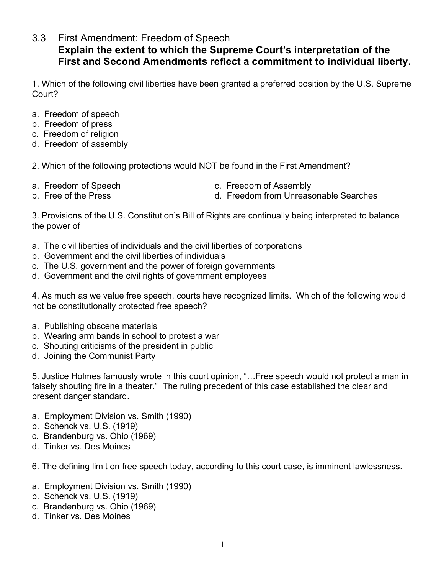3.3 First Amendment: Freedom of Speech

## **Explain the extent to which the Supreme Court's interpretation of the First and Second Amendments reflect a commitment to individual liberty.**

1. Which of the following civil liberties have been granted a preferred position by the U.S. Supreme Court?

- a. Freedom of speech
- b. Freedom of press
- c. Freedom of religion
- d. Freedom of assembly

2. Which of the following protections would NOT be found in the First Amendment?

- 
- 
- a. Freedom of Speech c. Freedom of Assembly
- b. Free of the Press d. Freedom from Unreasonable Searches

3. Provisions of the U.S. Constitution's Bill of Rights are continually being interpreted to balance the power of

- a. The civil liberties of individuals and the civil liberties of corporations
- b. Government and the civil liberties of individuals
- c. The U.S. government and the power of foreign governments
- d. Government and the civil rights of government employees

4. As much as we value free speech, courts have recognized limits. Which of the following would not be constitutionally protected free speech?

- a. Publishing obscene materials
- b. Wearing arm bands in school to protest a war
- c. Shouting criticisms of the president in public
- d. Joining the Communist Party

5. Justice Holmes famously wrote in this court opinion, "…Free speech would not protect a man in falsely shouting fire in a theater." The ruling precedent of this case established the clear and present danger standard.

- a. Employment Division vs. Smith (1990)
- b. Schenck vs. U.S. (1919)
- c. Brandenburg vs. Ohio (1969)
- d. Tinker vs. Des Moines

6. The defining limit on free speech today, according to this court case, is imminent lawlessness.

- a. Employment Division vs. Smith (1990)
- b. Schenck vs. U.S. (1919)
- c. Brandenburg vs. Ohio (1969)
- d. Tinker vs. Des Moines